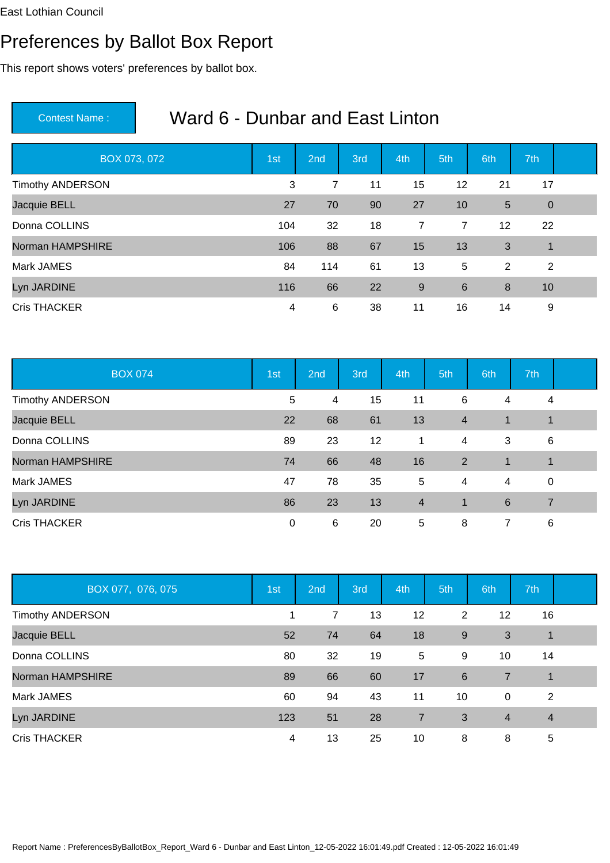# Preferences by Ballot Box Report

This report shows voters' preferences by ballot box.

| BOX 073, 072            | 1st | 2nd | 3rd | 4th            | 5th            | 6th | 7th            |  |
|-------------------------|-----|-----|-----|----------------|----------------|-----|----------------|--|
| <b>Timothy ANDERSON</b> | 3   | 7   | 11  | 15             | 12             | 21  | 17             |  |
| Jacquie BELL            | 27  | 70  | 90  | 27             | 10             | 5   | $\overline{0}$ |  |
| Donna COLLINS           | 104 | 32  | 18  | $\overline{7}$ | $\overline{7}$ | 12  | 22             |  |
| Norman HAMPSHIRE        | 106 | 88  | 67  | 15             | 13             | 3   | $\overline{1}$ |  |
| Mark JAMES              | 84  | 114 | 61  | 13             | 5              | 2   | 2              |  |
| Lyn JARDINE             | 116 | 66  | 22  | 9              | 6              | 8   | 10             |  |
| <b>Cris THACKER</b>     | 4   | 6   | 38  | 11             | 16             | 14  | 9              |  |

| <b>BOX 074</b>          | 1st | 2nd | 3rd | 4th            | 5th            | 6th         | 7th            |  |
|-------------------------|-----|-----|-----|----------------|----------------|-------------|----------------|--|
| <b>Timothy ANDERSON</b> | 5   | 4   | 15  | 11             | 6              | 4           | 4              |  |
| Jacquie BELL            | 22  | 68  | 61  | 13             | $\overline{4}$ | $\mathbf 1$ | $\mathbf 1$    |  |
| Donna COLLINS           | 89  | 23  | 12  | 1              | 4              | 3           | 6              |  |
| Norman HAMPSHIRE        | 74  | 66  | 48  | 16             | 2              | 1           | $\mathbf{1}$   |  |
| Mark JAMES              | 47  | 78  | 35  | 5              | 4              | 4           | $\mathbf 0$    |  |
| Lyn JARDINE             | 86  | 23  | 13  | $\overline{4}$ | -1             | 6           | $\overline{7}$ |  |
| <b>Cris THACKER</b>     | 0   | 6   | 20  | 5              | 8              | 7           | 6              |  |

| BOX 077, 076, 075       | 1st | 2 <sub>nd</sub> | 3rd | 4th | 5th | 6th            | 7th            |  |
|-------------------------|-----|-----------------|-----|-----|-----|----------------|----------------|--|
| <b>Timothy ANDERSON</b> | 1   | 7               | 13  | 12  | 2   | 12             | 16             |  |
| Jacquie BELL            | 52  | 74              | 64  | 18  | 9   | 3              | 1              |  |
| Donna COLLINS           | 80  | 32              | 19  | 5   | 9   | 10             | 14             |  |
| Norman HAMPSHIRE        | 89  | 66              | 60  | 17  | 6   | $\overline{7}$ | $\overline{1}$ |  |
| Mark JAMES              | 60  | 94              | 43  | 11  | 10  | $\mathbf 0$    | 2              |  |
| Lyn JARDINE             | 123 | 51              | 28  | 7   | 3   | $\overline{4}$ | $\overline{4}$ |  |
| <b>Cris THACKER</b>     | 4   | 13              | 25  | 10  | 8   | 8              | 5              |  |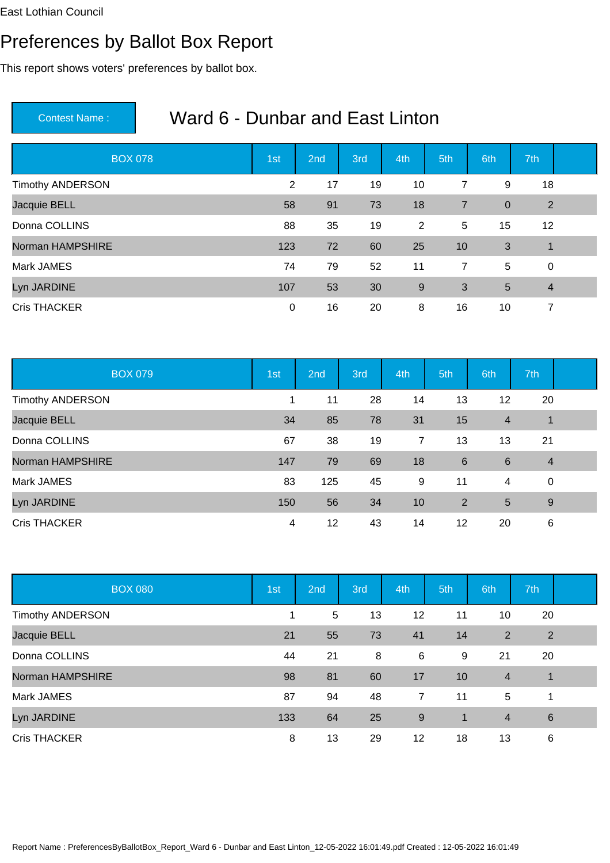# Preferences by Ballot Box Report

This report shows voters' preferences by ballot box.

| <b>BOX 078</b>          | 1st | 2nd | 3rd | 4th | 5th            | 6th         | 7th            |  |
|-------------------------|-----|-----|-----|-----|----------------|-------------|----------------|--|
| <b>Timothy ANDERSON</b> | 2   | 17  | 19  | 10  | 7              | 9           | 18             |  |
| Jacquie BELL            | 58  | 91  | 73  | 18  | $\overline{7}$ | $\mathbf 0$ | $\overline{2}$ |  |
| Donna COLLINS           | 88  | 35  | 19  | 2   | 5              | 15          | 12             |  |
| Norman HAMPSHIRE        | 123 | 72  | 60  | 25  | 10             | 3           | $\overline{1}$ |  |
| Mark JAMES              | 74  | 79  | 52  | 11  | $\overline{7}$ | 5           | $\mathbf 0$    |  |
| Lyn JARDINE             | 107 | 53  | 30  | 9   | 3              | 5           | $\overline{4}$ |  |
| <b>Cris THACKER</b>     | 0   | 16  | 20  | 8   | 16             | 10          | 7              |  |

| <b>BOX 079</b>          | 1st | 2nd | 3rd | 4th | 5th | 6th            | 7th            |  |
|-------------------------|-----|-----|-----|-----|-----|----------------|----------------|--|
| <b>Timothy ANDERSON</b> | 1   | 11  | 28  | 14  | 13  | 12             | 20             |  |
| Jacquie BELL            | 34  | 85  | 78  | 31  | 15  | $\overline{4}$ | $\mathbf{1}$   |  |
| Donna COLLINS           | 67  | 38  | 19  | 7   | 13  | 13             | 21             |  |
| Norman HAMPSHIRE        | 147 | 79  | 69  | 18  | 6   | 6              | $\overline{4}$ |  |
| Mark JAMES              | 83  | 125 | 45  | 9   | 11  | 4              | $\mathbf 0$    |  |
| Lyn JARDINE             | 150 | 56  | 34  | 10  | 2   | 5              | 9              |  |
| <b>Cris THACKER</b>     | 4   | 12  | 43  | 14  | 12  | 20             | 6              |  |

| <b>BOX 080</b>          | 1st | 2 <sub>nd</sub> | 3rd | 4th   | 5th          | 6th            | 7th             |  |
|-------------------------|-----|-----------------|-----|-------|--------------|----------------|-----------------|--|
| <b>Timothy ANDERSON</b> | 1   | 5               | 13  | 12    | 11           | 10             | 20              |  |
| Jacquie BELL            | 21  | 55              | 73  | 41    | 14           | $\overline{2}$ | $\overline{2}$  |  |
| Donna COLLINS           | 44  | 21              | 8   | 6     | 9            | 21             | 20              |  |
| Norman HAMPSHIRE        | 98  | 81              | 60  | 17    | 10           | $\overline{4}$ | $\mathbf 1$     |  |
| Mark JAMES              | 87  | 94              | 48  | 7     | 11           | 5              | 1               |  |
| Lyn JARDINE             | 133 | 64              | 25  | $9\,$ | $\mathbf{1}$ | $\overline{4}$ | $6\phantom{1}6$ |  |
| <b>Cris THACKER</b>     | 8   | 13              | 29  | 12    | 18           | 13             | 6               |  |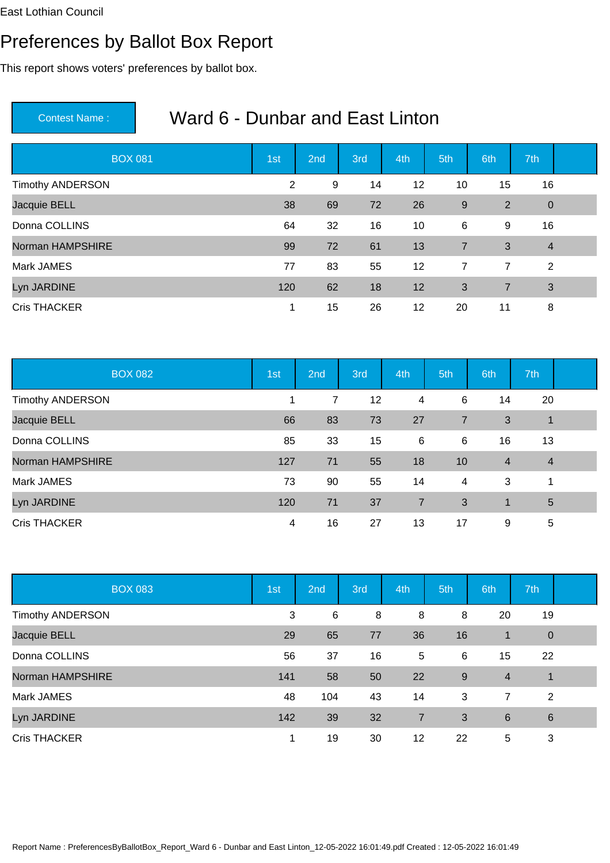# Preferences by Ballot Box Report

This report shows voters' preferences by ballot box.

| <b>BOX 081</b>          | 1st | 2nd | 3rd | 4th | 5th            | 6th            | 7th            |  |
|-------------------------|-----|-----|-----|-----|----------------|----------------|----------------|--|
| <b>Timothy ANDERSON</b> | 2   | 9   | 14  | 12  | 10             | 15             | 16             |  |
| Jacquie BELL            | 38  | 69  | 72  | 26  | 9              | 2              | $\overline{0}$ |  |
| Donna COLLINS           | 64  | 32  | 16  | 10  | 6              | 9              | 16             |  |
| Norman HAMPSHIRE        | 99  | 72  | 61  | 13  | $\overline{7}$ | 3              | $\overline{4}$ |  |
| Mark JAMES              | 77  | 83  | 55  | 12  | $\overline{7}$ | $\overline{7}$ | 2              |  |
| Lyn JARDINE             | 120 | 62  | 18  | 12  | 3              | $\overline{7}$ | 3              |  |
| <b>Cris THACKER</b>     | 1   | 15  | 26  | 12  | 20             | 11             | 8              |  |

| <b>BOX 082</b>          | 1st | 2nd | 3rd | 4th            | 5th            | 6th            | 7th            |  |
|-------------------------|-----|-----|-----|----------------|----------------|----------------|----------------|--|
| <b>Timothy ANDERSON</b> | 1   | 7   | 12  | 4              | 6              | 14             | 20             |  |
| Jacquie BELL            | 66  | 83  | 73  | 27             | $\overline{7}$ | 3              | $\mathbf{1}$   |  |
| Donna COLLINS           | 85  | 33  | 15  | 6              | 6              | 16             | 13             |  |
| Norman HAMPSHIRE        | 127 | 71  | 55  | 18             | 10             | $\overline{4}$ | $\overline{4}$ |  |
| Mark JAMES              | 73  | 90  | 55  | 14             | $\overline{4}$ | 3              | 1              |  |
| Lyn JARDINE             | 120 | 71  | 37  | $\overline{7}$ | 3              | $\mathbf 1$    | 5              |  |
| <b>Cris THACKER</b>     | 4   | 16  | 27  | 13             | 17             | 9              | 5              |  |

| <b>BOX 083</b>          | 1st         | 2 <sub>nd</sub> | 3rd | 4th | 5th | 6th            | 7th             |  |
|-------------------------|-------------|-----------------|-----|-----|-----|----------------|-----------------|--|
| <b>Timothy ANDERSON</b> | 3           | 6               | 8   | 8   | 8   | 20             | 19              |  |
| Jacquie BELL            | 29          | 65              | 77  | 36  | 16  | 1              | $\theta$        |  |
| Donna COLLINS           | 56          | 37              | 16  | 5   | 6   | 15             | 22              |  |
| Norman HAMPSHIRE        | 141         | 58              | 50  | 22  | 9   | $\overline{4}$ | 1               |  |
| Mark JAMES              | 48          | 104             | 43  | 14  | 3   | $\overline{7}$ | $\overline{2}$  |  |
| Lyn JARDINE             | 142         | 39              | 32  | 7   | 3   | 6              | $6\phantom{1}6$ |  |
| <b>Cris THACKER</b>     | $\mathbf 1$ | 19              | 30  | 12  | 22  | 5              | 3               |  |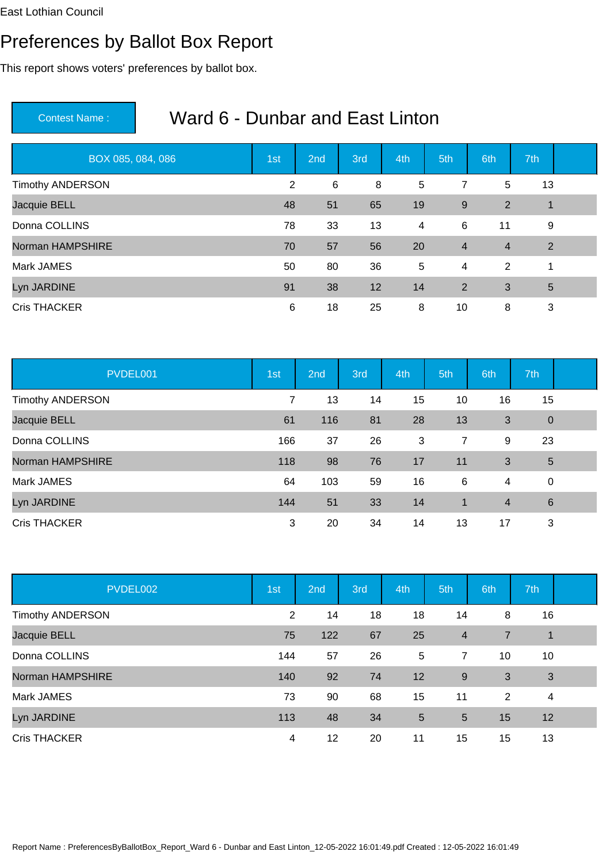# Preferences by Ballot Box Report

This report shows voters' preferences by ballot box.

| BOX 085, 084, 086       | 1st | 2nd | 3rd | 4th            | 5th            | 6th            | 7th             |  |
|-------------------------|-----|-----|-----|----------------|----------------|----------------|-----------------|--|
| <b>Timothy ANDERSON</b> | 2   | 6   | 8   | 5              | 7              | 5              | 13              |  |
| Jacquie BELL            | 48  | 51  | 65  | 19             | 9              | $\overline{2}$ | $\mathbf 1$     |  |
| Donna COLLINS           | 78  | 33  | 13  | $\overline{4}$ | 6              | 11             | 9               |  |
| Norman HAMPSHIRE        | 70  | 57  | 56  | 20             | $\overline{4}$ | $\overline{4}$ | 2               |  |
| Mark JAMES              | 50  | 80  | 36  | $\overline{5}$ | 4              | 2              | 1               |  |
| Lyn JARDINE             | 91  | 38  | 12  | 14             | 2              | 3              | $5\phantom{.0}$ |  |
| <b>Cris THACKER</b>     | 6   | 18  | 25  | 8              | 10             | 8              | 3               |  |

| PVDEL001                | 1st | 2nd | 3rd | 4th | 5th            | 6th            | 7th             |  |
|-------------------------|-----|-----|-----|-----|----------------|----------------|-----------------|--|
| <b>Timothy ANDERSON</b> | 7   | 13  | 14  | 15  | 10             | 16             | 15              |  |
| Jacquie BELL            | 61  | 116 | 81  | 28  | 13             | 3              | $\mathbf 0$     |  |
| Donna COLLINS           | 166 | 37  | 26  | 3   | $\overline{7}$ | 9              | 23              |  |
| Norman HAMPSHIRE        | 118 | 98  | 76  | 17  | 11             | 3              | $\overline{5}$  |  |
| Mark JAMES              | 64  | 103 | 59  | 16  | 6              | 4              | $\mathbf 0$     |  |
| Lyn JARDINE             | 144 | 51  | 33  | 14  | $\overline{1}$ | $\overline{4}$ | $6\phantom{1}6$ |  |
| <b>Cris THACKER</b>     | 3   | 20  | 34  | 14  | 13             | 17             | 3               |  |

| PVDEL002                | 1st | 2 <sub>nd</sub> | 3rd | 4th | 5th            | 6th | 7th |  |
|-------------------------|-----|-----------------|-----|-----|----------------|-----|-----|--|
| <b>Timothy ANDERSON</b> | 2   | 14              | 18  | 18  | 14             | 8   | 16  |  |
| Jacquie BELL            | 75  | 122             | 67  | 25  | $\overline{4}$ | 7   | 1   |  |
| Donna COLLINS           | 144 | 57              | 26  | 5   | $\overline{7}$ | 10  | 10  |  |
| Norman HAMPSHIRE        | 140 | 92              | 74  | 12  | $9\,$          | 3   | 3   |  |
| Mark JAMES              | 73  | 90              | 68  | 15  | 11             | 2   | 4   |  |
| Lyn JARDINE             | 113 | 48              | 34  | 5   | 5              | 15  | 12  |  |
| <b>Cris THACKER</b>     | 4   | 12              | 20  | 11  | 15             | 15  | 13  |  |